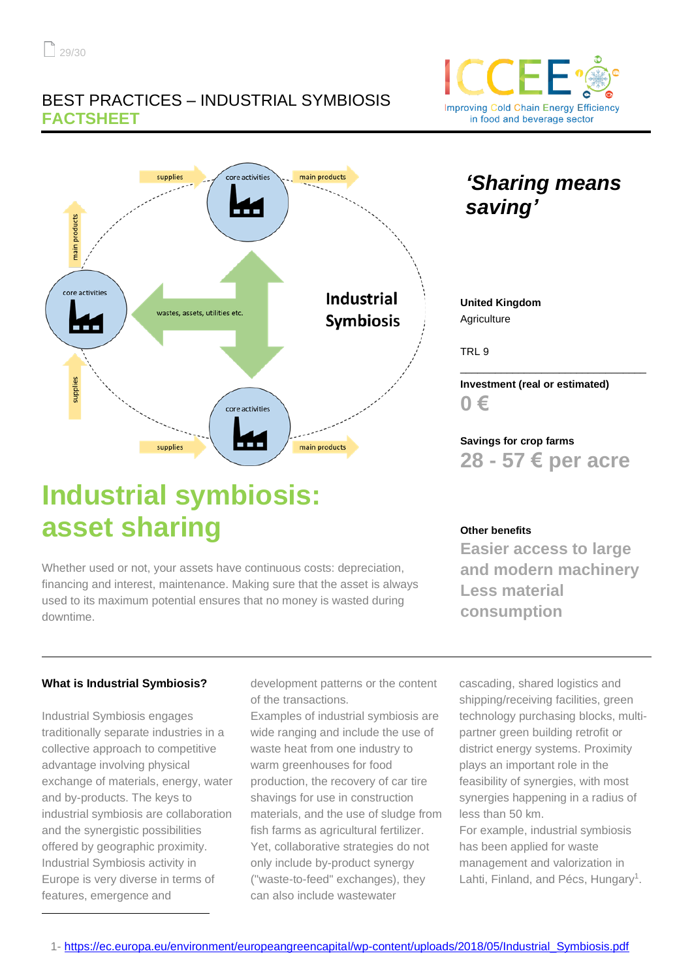## BEST PRACTICES – INDUSTRIAL SYMBIOSIS **FACTSHEET**



*'Sharing means* 



**United Kingdom Agriculture** 

*saving'*

TRL 9

**Investment (real or estimated) 0 €** 

\_\_\_\_\_\_\_\_\_\_\_\_\_\_\_\_\_\_\_\_\_\_\_\_\_\_\_\_\_\_\_\_

**Savings for crop farms 28 - 57 € per acre**

# **Industrial symbiosis: asset sharing**

Whether used or not, your assets have continuous costs: depreciation, financing and interest, maintenance. Making sure that the asset is always used to its maximum potential ensures that no money is wasted during downtime.

**Other benefits**

**Easier access to large and modern machinery Less material consumption**

### **What is Industrial Symbiosis?**

Industrial Symbiosis engages traditionally separate industries in a collective approach to competitive advantage involving physical exchange of materials, energy, water and by-products. The keys to industrial symbiosis are collaboration and the synergistic possibilities offered by geographic proximity. Industrial Symbiosis activity in Europe is very diverse in terms of features, emergence and

development patterns or the content of the transactions.

Examples of industrial symbiosis are wide ranging and include the use of waste heat from one industry to warm greenhouses for food production, the recovery of car tire shavings for use in construction materials, and the use of sludge from fish farms as agricultural fertilizer. Yet, collaborative strategies do not only include by-product synergy ("waste-to-feed" exchanges), they can also include wastewater

cascading, shared logistics and shipping/receiving facilities, green technology purchasing blocks, multipartner green building retrofit or district energy systems. Proximity plays an important role in the feasibility of synergies, with most synergies happening in a radius of less than 50 km.

For example, industrial symbiosis has been applied for waste management and valorization in Lahti, Finland, and Pécs, Hungary<sup>1</sup>.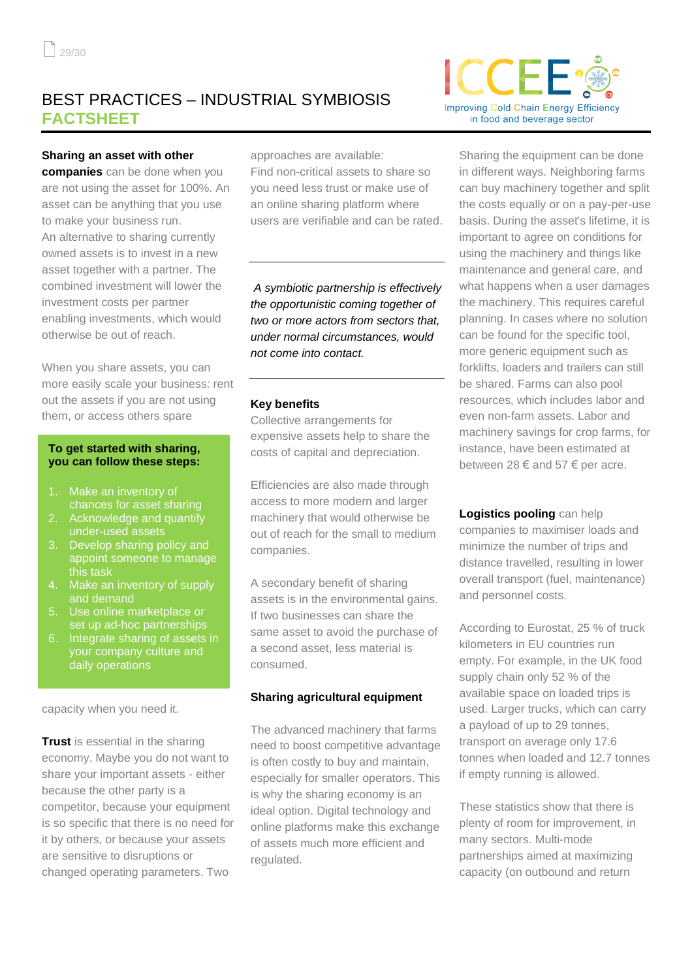## BEST PRACTICES – INDUSTRIAL SYMBIOSIS **FACTSHEET**

#### **Sharing an asset with other**

**companies** can be done when you are not using the asset for 100%. An asset can be anything that you use to make your business run. An alternative to sharing currently owned assets is to invest in a new asset together with a partner. The combined investment will lower the investment costs per partner enabling investments, which would otherwise be out of reach.

When you share assets, you can more easily scale your business: rent out the assets if you are not using them, or access others spare

#### **To get started with sharing, you can follow these steps:**

- 1. Make an inventory of chances for asset sharing
- 2. Acknowledge and quantify under-used assets
- 3. Develop sharing policy and appoint someone to manage this task
- 4. Make an inventory of supply and demand
- 5. Use online marketplace or set up ad-hoc partnerships
- 6. Integrate sharing of assets in your company culture and daily operations

capacity when you need it.

**Trust** is essential in the sharing economy. Maybe you do not want to share your important assets - either because the other party is a competitor, because your equipment is so specific that there is no need for it by others, or because your assets are sensitive to disruptions or changed operating parameters. Two

approaches are available:

Find non-critical assets to share so you need less trust or make use of an online sharing platform where users are verifiable and can be rated.

*A symbiotic partnership is effectively the opportunistic coming together of two or more actors from sectors that, under normal circumstances, would not come into contact.*

#### **Key benefits**

Collective arrangements for expensive assets help to share the costs of capital and depreciation.

Efficiencies are also made through access to more modern and larger machinery that would otherwise be out of reach for the small to medium companies.

A secondary benefit of sharing assets is in the environmental gains. If two businesses can share the same asset to avoid the purchase of a second asset, less material is consumed.

#### **Sharing agricultural equipment**

The advanced machinery that farms need to boost competitive advantage is often costly to buy and maintain, especially for smaller operators. This is why the sharing economy is an ideal option. Digital technology and online platforms make this exchange of assets much more efficient and regulated.



Sharing the equipment can be done in different ways. Neighboring farms can buy machinery together and split the costs equally or on a pay-per-use basis. During the asset's lifetime, it is important to agree on conditions for using the machinery and things like maintenance and general care, and what happens when a user damages the machinery. This requires careful planning. In cases where no solution can be found for the specific tool, more generic equipment such as forklifts, loaders and trailers can still be shared. Farms can also pool resources, which includes labor and even non-farm assets. Labor and machinery savings for crop farms, for instance, have been estimated at between 28  $\epsilon$  and 57  $\epsilon$  per acre.

**Logistics pooling** can help companies to maximiser loads and minimize the number of trips and distance travelled, resulting in lower overall transport (fuel, maintenance) and personnel costs.

According to Eurostat, 25 % of truck kilometers in EU countries run empty. For example, in the UK food supply chain only 52 % of the available space on loaded trips is used. Larger trucks, which can carry a payload of up to 29 tonnes, transport on average only 17.6 tonnes when loaded and 12.7 tonnes if empty running is allowed.

These statistics show that there is plenty of room for improvement, in many sectors. Multi-mode partnerships aimed at maximizing capacity (on outbound and return